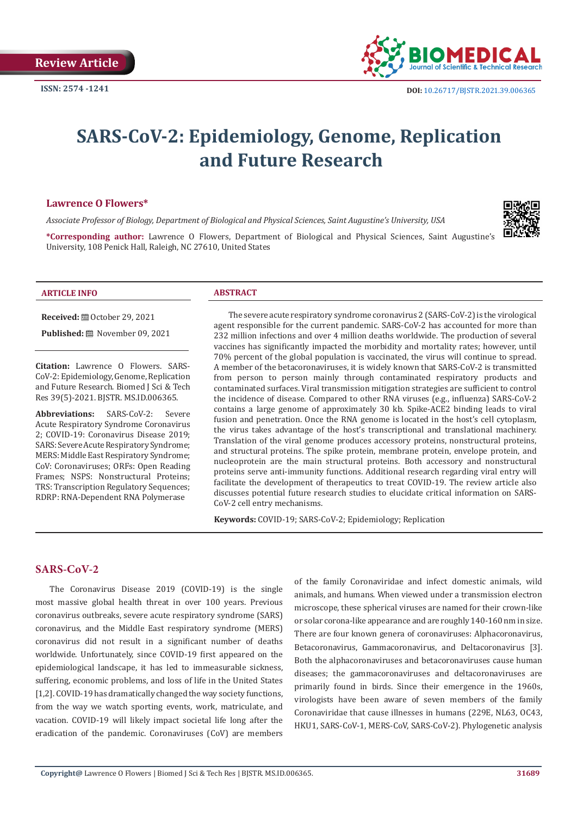

# **SARS-CoV-2: Epidemiology, Genome, Replication and Future Research**

#### **Lawrence O Flowers\***

*Associate Professor of Biology, Department of Biological and Physical Sciences, Saint Augustine's University, USA*

**\*Corresponding author:** Lawrence O Flowers, Department of Biological and Physical Sciences, Saint Augustine's University, 108 Penick Hall, Raleigh, NC 27610, United States

#### **ARTICLE INFO ABSTRACT**

**Received:** ■ October 29, 2021

Published: **■** November 09, 2021

**Citation:** Lawrence O Flowers. SARS-CoV-2: Epidemiology, Genome, Replication and Future Research. Biomed J Sci & Tech Res 39(5)-2021. BJSTR. MS.ID.006365.

**Abbreviations:** SARS-CoV-2: Severe Acute Respiratory Syndrome Coronavirus 2; COVID-19: Coronavirus Disease 2019; SARS: Severe Acute Respiratory Syndrome; MERS: Middle East Respiratory Syndrome; CoV: Coronaviruses; ORFs: Open Reading Frames; NSPS: Nonstructural Proteins; TRS: Transcription Regulatory Sequences; RDRP: RNA-Dependent RNA Polymerase

The severe acute respiratory syndrome coronavirus 2 (SARS-CoV-2) is the virological agent responsible for the current pandemic. SARS-CoV-2 has accounted for more than 232 million infections and over 4 million deaths worldwide. The production of several vaccines has significantly impacted the morbidity and mortality rates; however, until 70% percent of the global population is vaccinated, the virus will continue to spread. A member of the betacoronaviruses, it is widely known that SARS-CoV-2 is transmitted from person to person mainly through contaminated respiratory products and contaminated surfaces. Viral transmission mitigation strategies are sufficient to control the incidence of disease. Compared to other RNA viruses (e.g., influenza) SARS-CoV-2 contains a large genome of approximately 30 kb. Spike-ACE2 binding leads to viral fusion and penetration. Once the RNA genome is located in the host's cell cytoplasm, the virus takes advantage of the host's transcriptional and translational machinery. Translation of the viral genome produces accessory proteins, nonstructural proteins, and structural proteins. The spike protein, membrane protein, envelope protein, and nucleoprotein are the main structural proteins. Both accessory and nonstructural proteins serve anti-immunity functions. Additional research regarding viral entry will facilitate the development of therapeutics to treat COVID-19. The review article also discusses potential future research studies to elucidate critical information on SARS-CoV-2 cell entry mechanisms.

**Keywords:** COVID-19; SARS-CoV-2; Epidemiology; Replication

## **SARS-CoV-2**

The Coronavirus Disease 2019 (COVID-19) is the single most massive global health threat in over 100 years. Previous coronavirus outbreaks, severe acute respiratory syndrome (SARS) coronavirus, and the Middle East respiratory syndrome (MERS) coronavirus did not result in a significant number of deaths worldwide. Unfortunately, since COVID-19 first appeared on the epidemiological landscape, it has led to immeasurable sickness, suffering, economic problems, and loss of life in the United States [1,2]. COVID-19 has dramatically changed the way society functions, from the way we watch sporting events, work, matriculate, and vacation. COVID-19 will likely impact societal life long after the eradication of the pandemic. Coronaviruses (CoV) are members

of the family Coronaviridae and infect domestic animals, wild animals, and humans. When viewed under a transmission electron microscope, these spherical viruses are named for their crown-like or solar corona-like appearance and are roughly 140-160 nm in size. There are four known genera of coronaviruses: Alphacoronavirus, Betacoronavirus, Gammacoronavirus, and Deltacoronavirus [3]. Both the alphacoronaviruses and betacoronaviruses cause human diseases; the gammacoronaviruses and deltacoronaviruses are primarily found in birds. Since their emergence in the 1960s, virologists have been aware of seven members of the family Coronaviridae that cause illnesses in humans (229E, NL63, OC43, HKU1, SARS-CoV-1, MERS-CoV, SARS-CoV-2). Phylogenetic analysis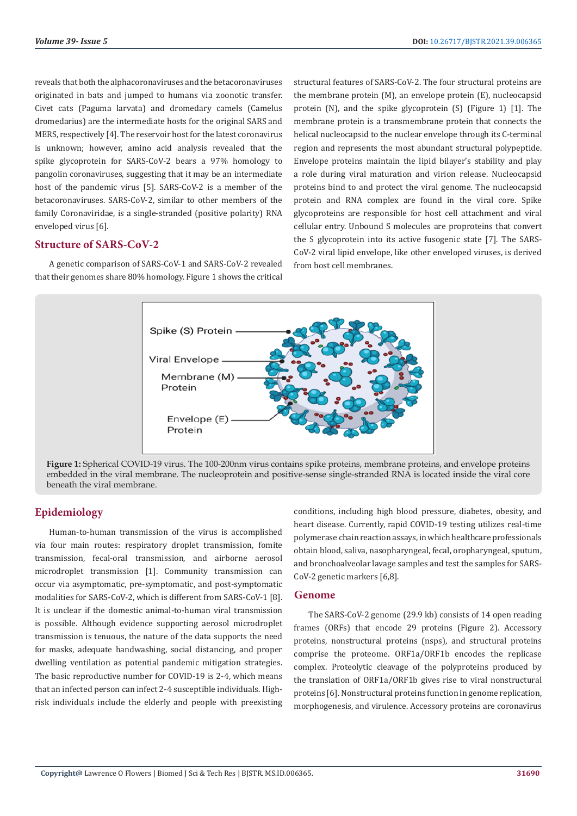reveals that both the alphacoronaviruses and the betacoronaviruses originated in bats and jumped to humans via zoonotic transfer. Civet cats (Paguma larvata) and dromedary camels (Camelus dromedarius) are the intermediate hosts for the original SARS and MERS, respectively [4]. The reservoir host for the latest coronavirus is unknown; however, amino acid analysis revealed that the spike glycoprotein for SARS-CoV-2 bears a 97% homology to pangolin coronaviruses, suggesting that it may be an intermediate host of the pandemic virus [5]. SARS-CoV-2 is a member of the betacoronaviruses. SARS-CoV-2, similar to other members of the family Coronaviridae, is a single-stranded (positive polarity) RNA enveloped virus [6].

#### **Structure of SARS-CoV-2**

A genetic comparison of SARS-CoV-1 and SARS-CoV-2 revealed that their genomes share 80% homology. Figure 1 shows the critical structural features of SARS-CoV-2. The four structural proteins are the membrane protein (M), an envelope protein (E), nucleocapsid protein (N), and the spike glycoprotein (S) (Figure 1) [1]. The membrane protein is a transmembrane protein that connects the helical nucleocapsid to the nuclear envelope through its C-terminal region and represents the most abundant structural polypeptide. Envelope proteins maintain the lipid bilayer's stability and play a role during viral maturation and virion release. Nucleocapsid proteins bind to and protect the viral genome. The nucleocapsid protein and RNA complex are found in the viral core. Spike glycoproteins are responsible for host cell attachment and viral cellular entry. Unbound S molecules are proproteins that convert the S glycoprotein into its active fusogenic state [7]. The SARS-CoV-2 viral lipid envelope, like other enveloped viruses, is derived from host cell membranes.



**Figure 1:** Spherical COVID-19 virus. The 100-200nm virus contains spike proteins, membrane proteins, and envelope proteins embedded in the viral membrane. The nucleoprotein and positive-sense single-stranded RNA is located inside the viral core beneath the viral membrane.

# **Epidemiology**

Human-to-human transmission of the virus is accomplished via four main routes: respiratory droplet transmission, fomite transmission, fecal-oral transmission, and airborne aerosol microdroplet transmission [1]. Community transmission can occur via asymptomatic, pre-symptomatic, and post-symptomatic modalities for SARS-CoV-2, which is different from SARS-CoV-1 [8]. It is unclear if the domestic animal-to-human viral transmission is possible. Although evidence supporting aerosol microdroplet transmission is tenuous, the nature of the data supports the need for masks, adequate handwashing, social distancing, and proper dwelling ventilation as potential pandemic mitigation strategies. The basic reproductive number for COVID-19 is 2-4, which means that an infected person can infect 2-4 susceptible individuals. Highrisk individuals include the elderly and people with preexisting

conditions, including high blood pressure, diabetes, obesity, and heart disease. Currently, rapid COVID-19 testing utilizes real-time polymerase chain reaction assays, in which healthcare professionals obtain blood, saliva, nasopharyngeal, fecal, oropharyngeal, sputum, and bronchoalveolar lavage samples and test the samples for SARS-CoV-2 genetic markers [6,8].

#### **Genome**

The SARS-CoV-2 genome (29.9 kb) consists of 14 open reading frames (ORFs) that encode 29 proteins (Figure 2). Accessory proteins, nonstructural proteins (nsps), and structural proteins comprise the proteome. ORF1a/ORF1b encodes the replicase complex. Proteolytic cleavage of the polyproteins produced by the translation of ORF1a/ORF1b gives rise to viral nonstructural proteins [6]. Nonstructural proteins function in genome replication, morphogenesis, and virulence. Accessory proteins are coronavirus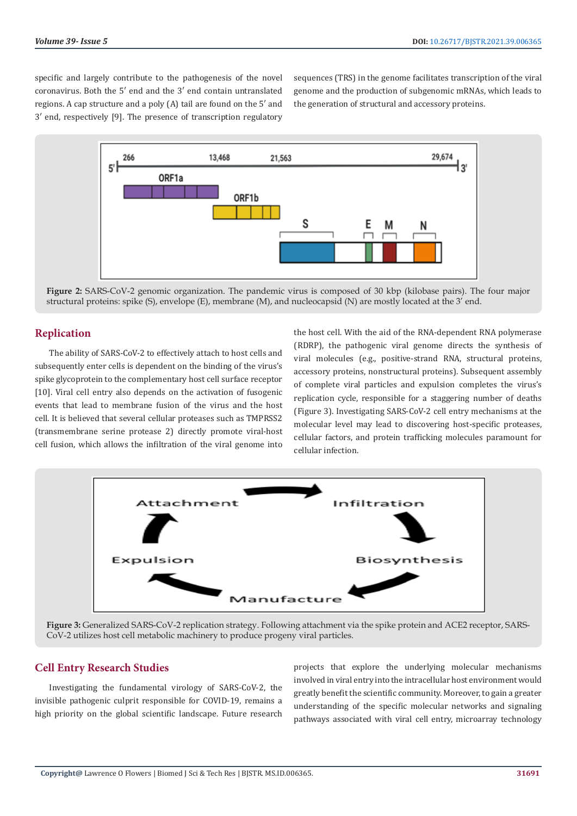specific and largely contribute to the pathogenesis of the novel coronavirus. Both the 5′ end and the 3′ end contain untranslated regions. A cap structure and a poly (A) tail are found on the 5′ and 3′ end, respectively [9]. The presence of transcription regulatory sequences (TRS) in the genome facilitates transcription of the viral genome and the production of subgenomic mRNAs, which leads to the generation of structural and accessory proteins.



**Figure 2:** SARS-CoV-2 genomic organization. The pandemic virus is composed of 30 kbp (kilobase pairs). The four major structural proteins: spike (S), envelope (E), membrane (M), and nucleocapsid (N) are mostly located at the 3' end.

### **Replication**

The ability of SARS-CoV-2 to effectively attach to host cells and subsequently enter cells is dependent on the binding of the virus's spike glycoprotein to the complementary host cell surface receptor [10]. Viral cell entry also depends on the activation of fusogenic events that lead to membrane fusion of the virus and the host cell. It is believed that several cellular proteases such as TMPRSS2 (transmembrane serine protease 2) directly promote viral-host cell fusion, which allows the infiltration of the viral genome into

the host cell. With the aid of the RNA-dependent RNA polymerase (RDRP), the pathogenic viral genome directs the synthesis of viral molecules (e.g., positive-strand RNA, structural proteins, accessory proteins, nonstructural proteins). Subsequent assembly of complete viral particles and expulsion completes the virus's replication cycle, responsible for a staggering number of deaths (Figure 3). Investigating SARS-CoV-2 cell entry mechanisms at the molecular level may lead to discovering host-specific proteases, cellular factors, and protein trafficking molecules paramount for cellular infection.



**Figure 3:** Generalized SARS-CoV-2 replication strategy. Following attachment via the spike protein and ACE2 receptor, SARS-CoV-2 utilizes host cell metabolic machinery to produce progeny viral particles.

### **Cell Entry Research Studies**

Investigating the fundamental virology of SARS-CoV-2, the invisible pathogenic culprit responsible for COVID-19, remains a high priority on the global scientific landscape. Future research

projects that explore the underlying molecular mechanisms involved in viral entry into the intracellular host environment would greatly benefit the scientific community. Moreover, to gain a greater understanding of the specific molecular networks and signaling pathways associated with viral cell entry, microarray technology